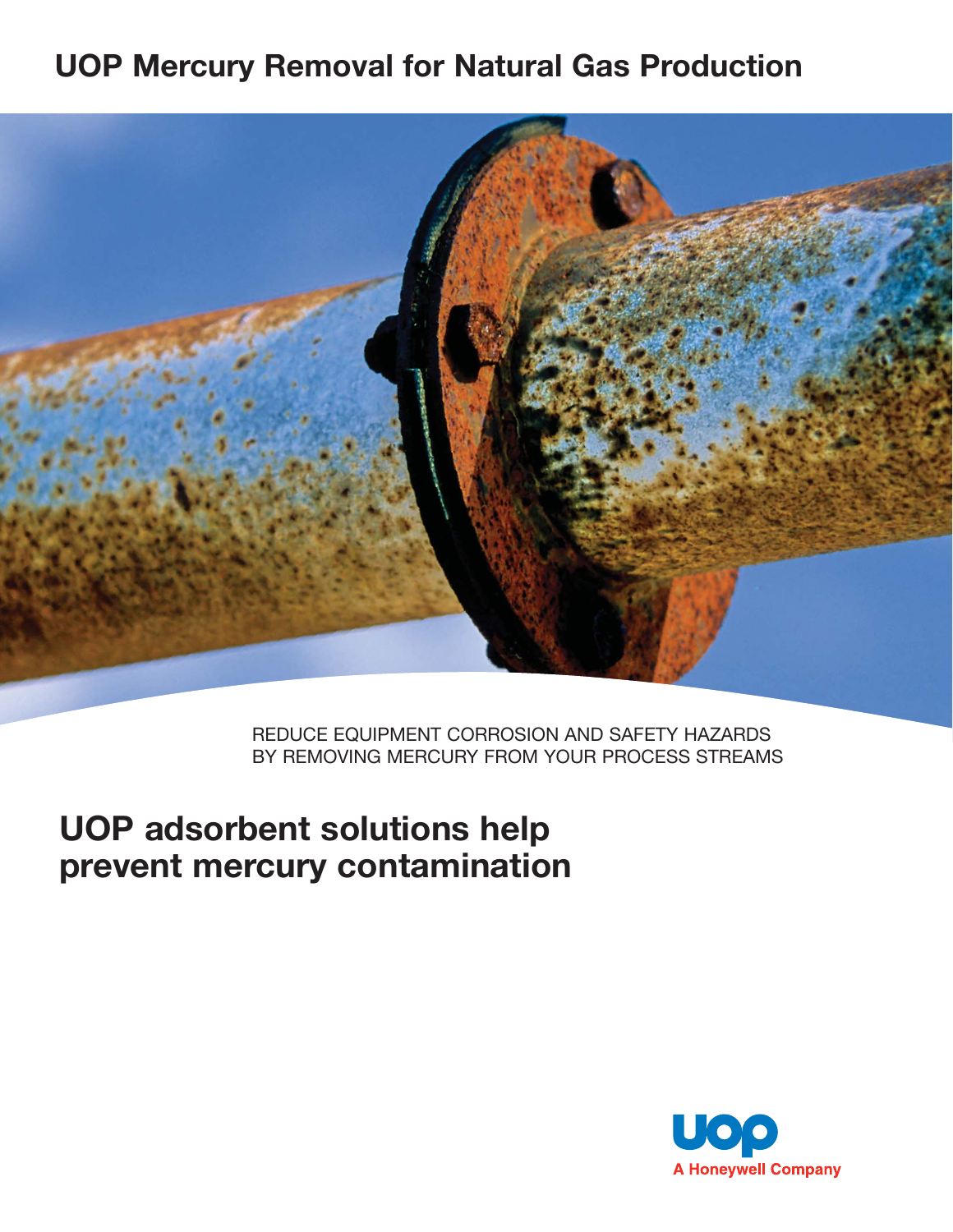## **UOP Mercury Removal for Natural Gas Production**



REDUCE EQUIPMENT CORROSION AND SAFETY HAZARDS BY REMOVING MERCURY FROM YOUR PROCESS STREAMS

# **UOP adsorbent solutions help prevent mercury contamination**

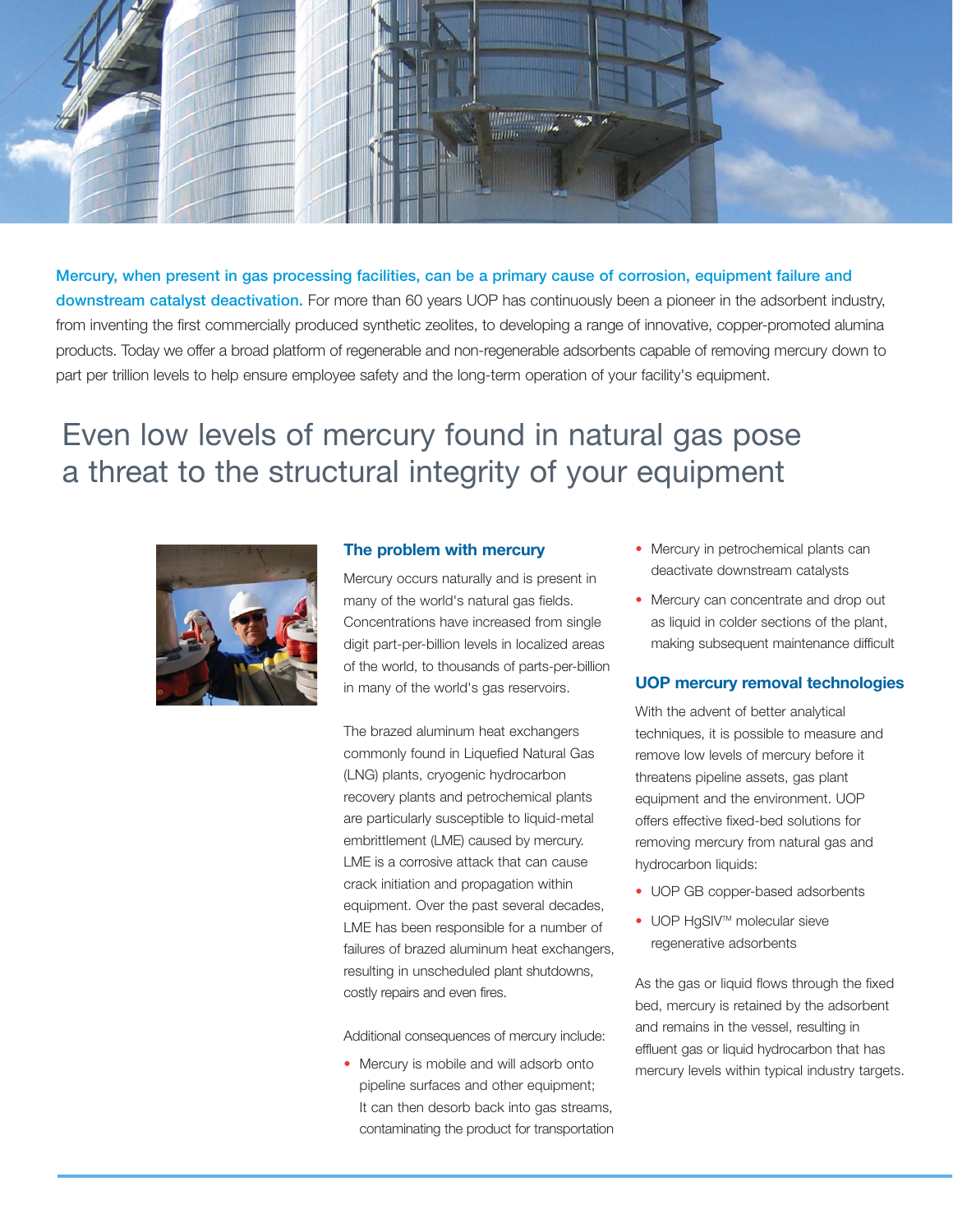

**Mercury, when present in gas processing facilities, can be a primary cause of corrosion, equipment failure and downstream catalyst deactivation.** For more than 60 years UOP has continuously been a pioneer in the adsorbent industry, from inventing the first commercially produced synthetic zeolites, to developing a range of innovative, copper-promoted alumina products. Today we offer a broad platform of regenerable and non-regenerable adsorbents capable of removing mercury down to part per trillion levels to help ensure employee safety and the long-term operation of your facility's equipment.

## Even low levels of mercury found in natural gas pose a threat to the structural integrity of your equipment



### **The problem with mercury**

Mercury occurs naturally and is present in many of the world's natural gas fields. Concentrations have increased from single digit part-per-billion levels in localized areas of the world, to thousands of parts-per-billion in many of the world's gas reservoirs.

The brazed aluminum heat exchangers commonly found in Liquefied Natural Gas (LNG) plants, cryogenic hydrocarbon recovery plants and petrochemical plants are particularly susceptible to liquid-metal embrittlement (LME) caused by mercury. LME is a corrosive attack that can cause crack initiation and propagation within equipment. Over the past several decades, LME has been responsible for a number of failures of brazed aluminum heat exchangers, resulting in unscheduled plant shutdowns, costly repairs and even fires.

Additional consequences of mercury include:

• Mercury is mobile and will adsorb onto pipeline surfaces and other equipment; It can then desorb back into gas streams, contaminating the product for transportation

- Mercury in petrochemical plants can deactivate downstream catalysts
- Mercury can concentrate and drop out as liquid in colder sections of the plant, making subsequent maintenance difficult

### **UOP mercury removal technologies**

With the advent of better analytical techniques, it is possible to measure and remove low levels of mercury before it threatens pipeline assets, gas plant equipment and the environment. UOP offers effective fixed-bed solutions for removing mercury from natural gas and hydrocarbon liquids:

- UOP GB copper-based adsorbents
- UOP HgSIV<sup>™</sup> molecular sieve regenerative adsorbents

As the gas or liquid flows through the fixed bed, mercury is retained by the adsorbent and remains in the vessel, resulting in effluent gas or liquid hydrocarbon that has mercury levels within typical industry targets.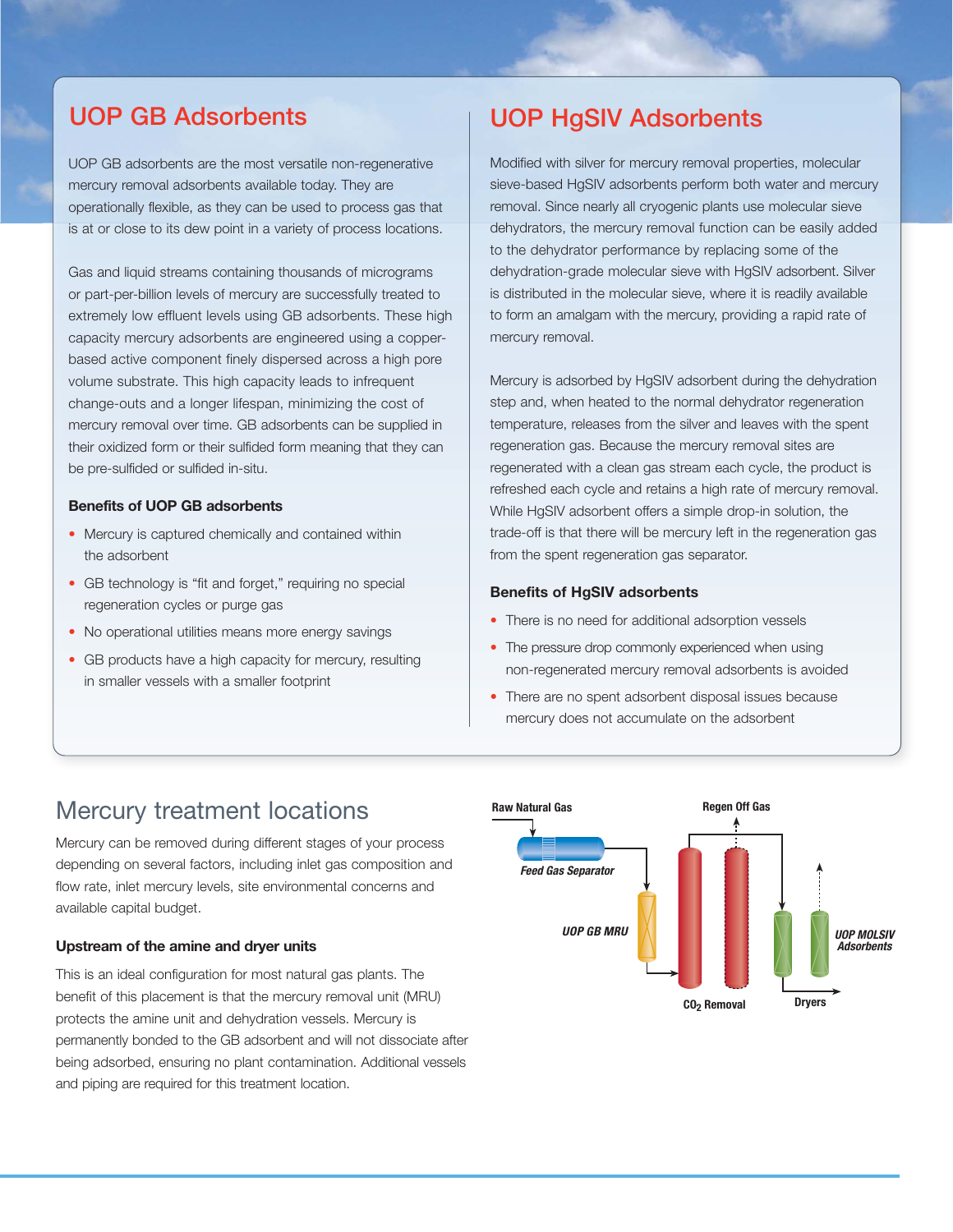UOP GB adsorbents are the most versatile non-regenerative mercury removal adsorbents available today. They are operationally flexible, as they can be used to process gas that is at or close to its dew point in a variety of process locations.

Gas and liquid streams containing thousands of micrograms or part-per-billion levels of mercury are successfully treated to extremely low effluent levels using GB adsorbents. These high capacity mercury adsorbents are engineered using a copperbased active component finely dispersed across a high pore volume substrate. This high capacity leads to infrequent change-outs and a longer lifespan, minimizing the cost of mercury removal over time. GB adsorbents can be supplied in their oxidized form or their sulfided form meaning that they can be pre-sulfided or sulfided in-situ.

### **Benefits of UOP GB adsorbents**

- Mercury is captured chemically and contained within the adsorbent
- GB technology is "fit and forget," requiring no special regeneration cycles or purge gas
- No operational utilities means more energy savings
- GB products have a high capacity for mercury, resulting in smaller vessels with a smaller footprint

## **UOP GB Adsorbents UOP HgSIV Adsorbents**

Modified with silver for mercury removal properties, molecular sieve-based HgSIV adsorbents perform both water and mercury removal. Since nearly all cryogenic plants use molecular sieve dehydrators, the mercury removal function can be easily added to the dehydrator performance by replacing some of the dehydration-grade molecular sieve with HgSIV adsorbent. Silver is distributed in the molecular sieve, where it is readily available to form an amalgam with the mercury, providing a rapid rate of mercury removal.

Mercury is adsorbed by HgSIV adsorbent during the dehydration step and, when heated to the normal dehydrator regeneration temperature, releases from the silver and leaves with the spent regeneration gas. Because the mercury removal sites are regenerated with a clean gas stream each cycle, the product is refreshed each cycle and retains a high rate of mercury removal. While HgSIV adsorbent offers a simple drop-in solution, the trade-off is that there will be mercury left in the regeneration gas from the spent regeneration gas separator.

### **Benefits of HgSIV adsorbents**

- There is no need for additional adsorption vessels
- The pressure drop commonly experienced when using non-regenerated mercury removal adsorbents is avoided
- There are no spent adsorbent disposal issues because mercury does not accumulate on the adsorbent

### Mercury treatment locations

Mercury can be removed during different stages of your process depending on several factors, including inlet gas composition and flow rate, inlet mercury levels, site environmental concerns and available capital budget.

### **Upstream of the amine and dryer units**

This is an ideal configuration for most natural gas plants. The benefit of this placement is that the mercury removal unit (MRU) protects the amine unit and dehydration vessels. Mercury is permanently bonded to the GB adsorbent and will not dissociate after being adsorbed, ensuring no plant contamination. Additional vessels and piping are required for this treatment location.